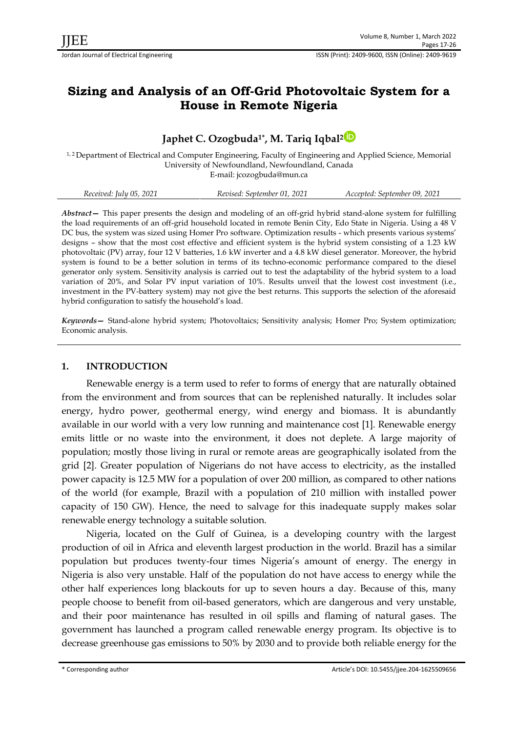# **Sizing and Analysis of an Off-Grid Photovoltaic System for a House in Remote Nigeria**

# **Japhet C. Ozogbuda1\* , M. Tariq Iqbal<sup>2</sup>**

1, 2 Department of Electrical and Computer Engineering, Faculty of Engineering and Applied Science, Memorial University of Newfoundland, Newfoundland, Canada E-mail: jcozogbuda@mun.ca

| Received: July 05, 2021 | Revised: September 01, 2021 | Accepted: September 09, 2021 |
|-------------------------|-----------------------------|------------------------------|
|                         |                             |                              |

*Abstract—* This paper presents the design and modeling of an off-grid hybrid stand-alone system for fulfilling the load requirements of an off-grid household located in remote Benin City, Edo State in Nigeria. Using a 48 V DC bus, the system was sized using Homer Pro software. Optimization results - which presents various systems' designs – show that the most cost effective and efficient system is the hybrid system consisting of a 1.23 kW photovoltaic (PV) array, four 12 V batteries, 1.6 kW inverter and a 4.8 kW diesel generator. Moreover, the hybrid system is found to be a better solution in terms of its techno-economic performance compared to the diesel generator only system. Sensitivity analysis is carried out to test the adaptability of the hybrid system to a load variation of 20%, and Solar PV input variation of 10%. Results unveil that the lowest cost investment (i.e., investment in the PV-battery system) may not give the best returns. This supports the selection of the aforesaid hybrid configuration to satisfy the household's load.

*Keywords—* Stand-alone hybrid system; Photovoltaics; Sensitivity analysis; Homer Pro; System optimization; Economic analysis.

# **1. INTRODUCTION**

Renewable energy is a term used to refer to forms of energy that are naturally obtained from the environment and from sources that can be replenished naturally. It includes solar energy, hydro power, geothermal energy, wind energy and biomass. It is abundantly available in our world with a very low running and maintenance cost [1]. Renewable energy emits little or no waste into the environment, it does not deplete. A large majority of population; mostly those living in rural or remote areas are geographically isolated from the grid [2]. Greater population of Nigerians do not have access to electricity, as the installed power capacity is 12.5 MW for a population of over 200 million, as compared to other nations of the world (for example, Brazil with a population of 210 million with installed power capacity of 150 GW). Hence, the need to salvage for this inadequate supply makes solar renewable energy technology a suitable solution.

Nigeria, located on the Gulf of Guinea, is a developing country with the largest production of oil in Africa and eleventh largest production in the world. Brazil has a similar population but produces twenty-four times Nigeria's amount of energy. The energy in Nigeria is also very unstable. Half of the population do not have access to energy while the other half experiences long blackouts for up to seven hours a day. Because of this, many people choose to benefit from oil-based generators, which are dangerous and very unstable, and their poor maintenance has resulted in oil spills and flaming of natural gases. The government has launched a program called renewable energy program. Its objective is to decrease greenhouse gas emissions to 50% by 2030 and to provide both reliable energy for the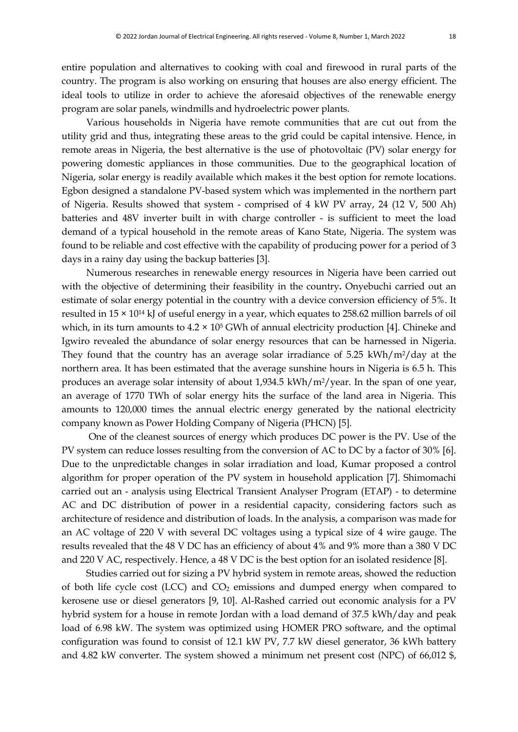entire population and alternatives to cooking with coal and firewood in rural parts of the country. The program is also working on ensuring that houses are also energy efficient. The ideal tools to utilize in order to achieve the aforesaid objectives of the renewable energy program are solar panels, windmills and hydroelectric power plants.

Various households in Nigeria have remote communities that are cut out from the utility grid and thus, integrating these areas to the grid could be capital intensive. Hence, in remote areas in Nigeria, the best alternative is the use of photovoltaic (PV) solar energy for powering domestic appliances in those communities. Due to the geographical location of Nigeria, solar energy is readily available which makes it the best option for remote locations. Egbon designed a standalone PV-based system which was implemented in the northern part of Nigeria. Results showed that system - comprised of 4 kW PV array, 24 (12 V, 500 Ah) batteries and 48V inverter built in with charge controller - is sufficient to meet the load demand of a typical household in the remote areas of Kano State, Nigeria. The system was found to be reliable and cost effective with the capability of producing power for a period of 3 days in a rainy day using the backup batteries [3].

Numerous researches in renewable energy resources in Nigeria have been carried out with the objective of determining their feasibility in the country**.** Onyebuchi carried out an estimate of solar energy potential in the country with a device conversion efficiency of 5%. It resulted in 15 × 10<sup>14</sup> kJ of useful energy in a year, which equates to 258.62 million barrels of oil which, in its turn amounts to  $4.2 \times 10^5$  GWh of annual electricity production [4]. Chineke and Igwiro revealed the abundance of solar energy resources that can be harnessed in Nigeria. They found that the country has an average solar irradiance of 5.25 kWh/m<sup>2</sup>/day at the northern area. It has been estimated that the average sunshine hours in Nigeria is 6.5 h. This produces an average solar intensity of about 1,934.5 kWh/m2/year. In the span of one year, an average of 1770 TWh of solar energy hits the surface of the land area in Nigeria. This amounts to 120,000 times the annual electric energy generated by the national electricity company known as Power Holding Company of Nigeria (PHCN) [5].

One of the cleanest sources of energy which produces DC power is the PV. Use of the PV system can reduce losses resulting from the conversion of AC to DC by a factor of 30% [6]. Due to the unpredictable changes in solar irradiation and load, Kumar proposed a control algorithm for proper operation of the PV system in household application [7]. Shimomachi carried out an - analysis using Electrical Transient Analyser Program (ETAP) - to determine AC and DC distribution of power in a residential capacity, considering factors such as architecture of residence and distribution of loads. In the analysis, a comparison was made for an AC voltage of 220 V with several DC voltages using a typical size of 4 wire gauge. The results revealed that the 48 V DC has an efficiency of about 4% and 9% more than a 380 V DC and 220 V AC, respectively. Hence, a 48 V DC is the best option for an isolated residence [8].

Studies carried out for sizing a PV hybrid system in remote areas, showed the reduction of both life cycle cost (LCC) and  $CO<sub>2</sub>$  emissions and dumped energy when compared to kerosene use or diesel generators [9, 10]. Al-Rashed carried out economic analysis for a PV hybrid system for a house in remote Jordan with a load demand of 37.5 kWh/day and peak load of 6.98 kW. The system was optimized using HOMER PRO software, and the optimal configuration was found to consist of 12.1 kW PV, 7.7 kW diesel generator, 36 kWh battery and 4.82 kW converter. The system showed a minimum net present cost (NPC) of 66,012 \$,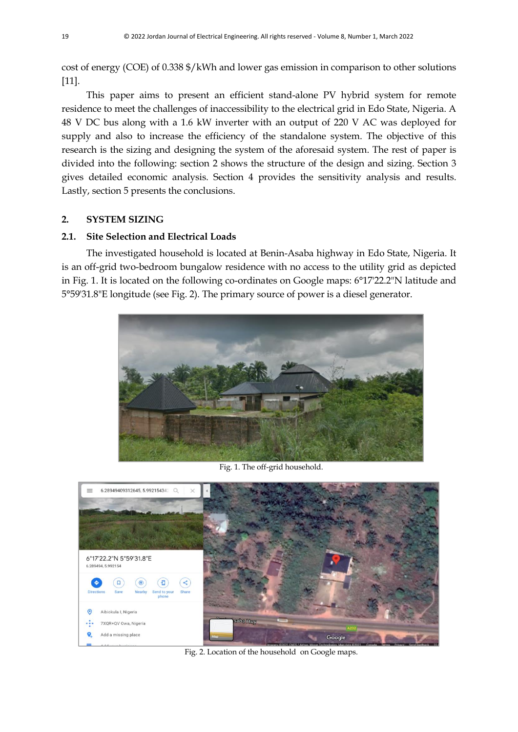cost of energy (COE) of 0.338 \$/kWh and lower gas emission in comparison to other solutions [11].

This paper aims to present an efficient stand-alone PV hybrid system for remote residence to meet the challenges of inaccessibility to the electrical grid in Edo State, Nigeria. A 48 V DC bus along with a 1.6 kW inverter with an output of 220 V AC was deployed for supply and also to increase the efficiency of the standalone system. The objective of this research is the sizing and designing the system of the aforesaid system. The rest of paper is divided into the following: section 2 shows the structure of the design and sizing. Section 3 gives detailed economic analysis. Section 4 provides the sensitivity analysis and results. Lastly, section 5 presents the conclusions.

## **2. SYSTEM SIZING**

## **2.1. Site Selection and Electrical Loads**

The investigated household is located at Benin-Asaba highway in Edo State, Nigeria. It is an off-grid two-bedroom bungalow residence with no access to the utility grid as depicted in Fig. 1. It is located on the following co-ordinates on Google maps: 6°17'22.2"N latitude and 5°59'31.8"E longitude (see Fig. 2). The primary source of power is a diesel generator.



Fig. 1. The off-grid household.



Fig. 2. Location of the household on Google maps.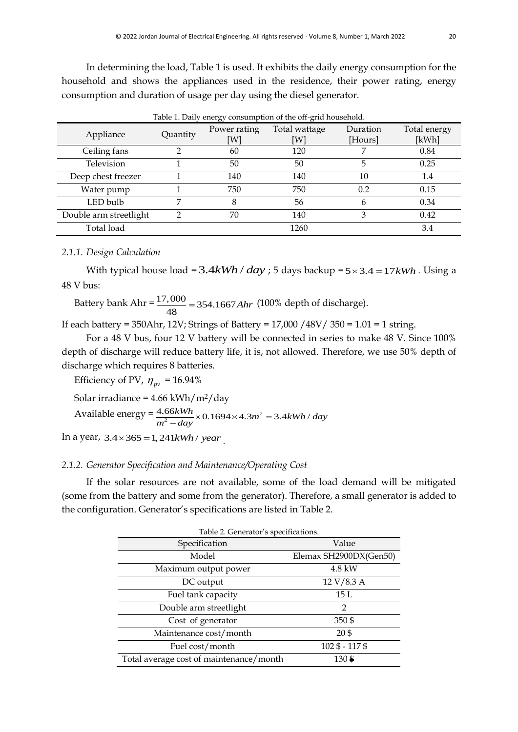In determining the load, Table 1 is used. It exhibits the daily energy consumption for the household and shows the appliances used in the residence, their power rating, energy consumption and duration of usage per day using the diesel generator.

| Appliance              | Quantity | Power rating<br>[W] | Total wattage<br>[W] | Duration<br>[Hours] | Total energy<br>[kWh] |
|------------------------|----------|---------------------|----------------------|---------------------|-----------------------|
| Ceiling fans           | ◠        | 60                  | 120                  | ⇁                   | 0.84                  |
| Television             |          | 50                  | 50                   | 5                   | 0.25                  |
| Deep chest freezer     |          | 140                 | 140                  | 10                  | 1.4                   |
| Water pump             |          | 750                 | 750                  | 0.2                 | 0.15                  |
| LED bulb               | 7        | 8                   | 56                   | h                   | 0.34                  |
| Double arm streetlight |          | 70                  | 140                  | 3                   | 0.42                  |
| Total load             |          |                     | 1260                 |                     | 3.4                   |

Table 1. Daily energy consumption of the off-grid household.

### *2.1.1. Design Calculation*

With typical house load =  $3.4kWh / day$ ; 5 days backup =  $5 \times 3.4 = 17kWh$ . Using a 48 V bus:

Battery bank  $Ahr = \frac{17,000}{100} = 354.1667$ 48 = 354.1667*Ahr* (100% depth of discharge).

If each battery = 350Ahr, 12V; Strings of Battery = 17,000 /48V/ 350 = 1.01 = 1 string.

For a 48 V bus, four 12 V battery will be connected in series to make 48 V. Since 100% depth of discharge will reduce battery life, it is, not allowed. Therefore, we use 50% depth of discharge which requires 8 batteries.

Efficiency of PV,  $\eta_{pv}$  = 16.94%

Solar irradiance =  $4.66$  kWh/m<sup>2</sup>/day

Solar irradiance = 4.66 kWh/ m<sup>2</sup>/day<br>Available energy =  $\frac{4.66kWh}{m^2 - day} \times 0.1694 \times 4.3 m^2 = 3.4kWh / day$ kWh/m²/day<br>  $\frac{6kWh}{-day} \times 0.1694 \times 4.3 m^2 = 3.4 kV$ 

m - *aay*<br>In a year, 3.4×365 = 1,241*kWh / year* 

## *2.1.2. Generator Specification and Maintenance/Operating Cost*

If the solar resources are not available, some of the load demand will be mitigated (some from the battery and some from the generator). Therefore, a small generator is added to the configuration. Generator's specifications are listed in Table 2.

| Table 2. Generator's specifications.    |                        |  |  |  |  |  |  |  |
|-----------------------------------------|------------------------|--|--|--|--|--|--|--|
| Specification                           | Value                  |  |  |  |  |  |  |  |
| Model                                   | Elemax SH2900DX(Gen50) |  |  |  |  |  |  |  |
| Maximum output power                    | 4.8 kW                 |  |  |  |  |  |  |  |
| DC output                               | 12 V/8.3 A             |  |  |  |  |  |  |  |
| Fuel tank capacity                      | 15L                    |  |  |  |  |  |  |  |
| Double arm streetlight                  | $\mathfrak{p}$         |  |  |  |  |  |  |  |
| Cost of generator                       | 350\$                  |  |  |  |  |  |  |  |
| Maintenance cost/month                  | 20\$                   |  |  |  |  |  |  |  |
| Fuel cost/month                         | $102\$ - 117 \$        |  |  |  |  |  |  |  |
| Total average cost of maintenance/month | 130\$                  |  |  |  |  |  |  |  |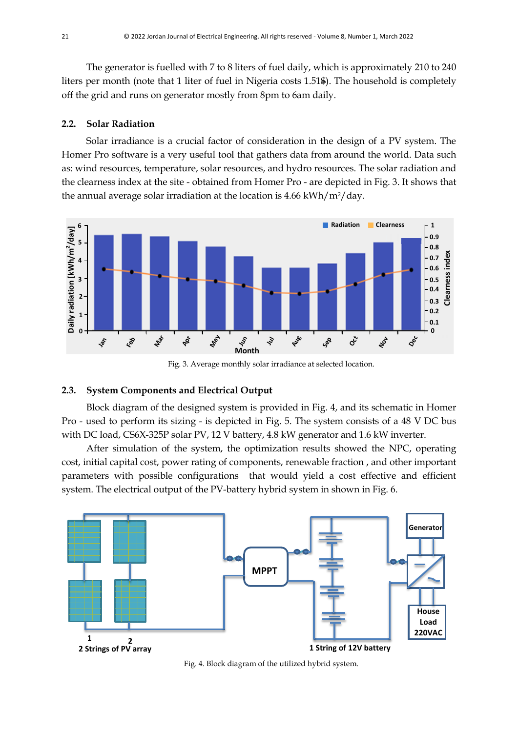The generator is fuelled with 7 to 8 liters of fuel daily, which is approximately 210 to 240 liters per month (note that 1 liter of fuel in Nigeria costs 1.51\$). The household is completely off the grid and runs on generator mostly from 8pm to 6am daily.

#### **2.2. Solar Radiation**

Solar irradiance is a crucial factor of consideration in the design of a PV system. The Homer Pro software is a very useful tool that gathers data from around the world. Data such as: wind resources, temperature, solar resources, and hydro resources. The solar radiation and the clearness index at the site - obtained from Homer Pro - are depicted in Fig. 3. It shows that the annual average solar irradiation at the location is 4.66 kWh/m2/day.



Fig. 3. Average monthly solar irradiance at selected location.

## **2.3. System Components and Electrical Output**

Block diagram of the designed system is provided in Fig. 4, and its schematic in Homer Pro - used to perform its sizing - is depicted in Fig. 5. The system consists of a 48 V DC bus with DC load, CS6X-325P solar PV, 12 V battery, 4.8 kW generator and 1.6 kW inverter.

After simulation of the system, the optimization results showed the NPC, operating cost, initial capital cost, power rating of components, renewable fraction , and other important parameters with possible configurations that would yield a cost effective and efficient system. The electrical output of the PV-battery hybrid system in shown in Fig. 6.



Fig. 4. Block diagram of the utilized hybrid system.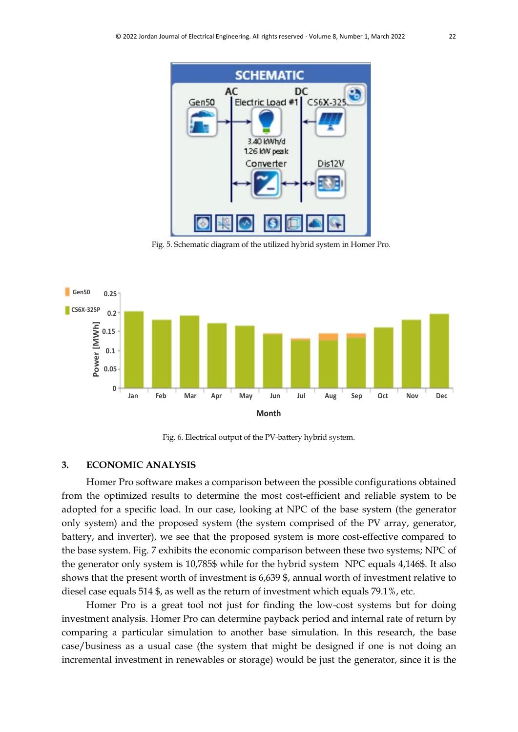

Fig. 5. Schematic diagram of the utilized hybrid system in Homer Pro.



Fig. 6. Electrical output of the PV-battery hybrid system.

## **3. ECONOMIC ANALYSIS**

Homer Pro software makes a comparison between the possible configurations obtained from the optimized results to determine the most cost-efficient and reliable system to be adopted for a specific load. In our case, looking at NPC of the base system (the generator only system) and the proposed system (the system comprised of the PV array, generator, battery, and inverter), we see that the proposed system is more cost-effective compared to the base system. Fig. 7 exhibits the economic comparison between these two systems; NPC of the generator only system is 10,785\$ while for the hybrid system NPC equals 4,146\$. It also shows that the present worth of investment is 6,639 \$, annual worth of investment relative to diesel case equals 514 \$, as well as the return of investment which equals 79.1%, etc.

Homer Pro is a great tool not just for finding the low-cost systems but for doing investment analysis. Homer Pro can determine payback period and internal rate of return by comparing a particular simulation to another base simulation. In this research, the base case/business as a usual case (the system that might be designed if one is not doing an incremental investment in renewables or storage) would be just the generator, since it is the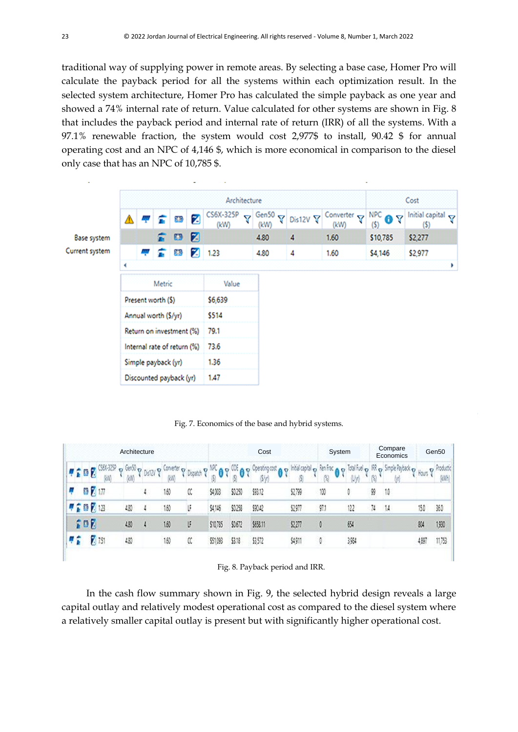traditional way of supplying power in remote areas. By selecting a base case, Homer Pro will calculate the payback period for all the systems within each optimization result. In the selected system architecture, Homer Pro has calculated the simple payback as one year and showed a 74% internal rate of return. Value calculated for other systems are shown in Fig. 8 that includes the payback period and internal rate of return (IRR) of all the systems. With a 97.1% renewable fraction, the system would cost 2,977\$ to install, 90.42 \$ for annual operating cost and an NPC of 4,146 \$, which is more economical in comparison to the diesel only case that has an NPC of 10,785 \$.



Fig. 7. Economics of the base and hybrid systems.

| Architecture |  |   |            | Cost  |                              |   |                                             | System   |          | Compare<br>Economics |           | Gen50               |            |             |    |                                 |        |                    |
|--------------|--|---|------------|-------|------------------------------|---|---------------------------------------------|----------|----------|----------------------|-----------|---------------------|------------|-------------|----|---------------------------------|--------|--------------------|
|              |  |   |            | тm    | $\sigma$ (ev) $\sigma$<br>kW |   | <b>OSIZY &amp; Coneter on</b><br><b>IGN</b> | Dispatch |          | $\cdot$ 0            | <b>AD</b> | Initial capital co. | Rentral of | idal fuel o |    | IRR <sub>o</sub> Simple Payback | Rous P | Production<br>(WH) |
|              |  | Ŧ | 7.17       |       |                              | 4 | 150                                         | ĸ        | \$4003   | \$0250               | 98.12     | 279                 | 100        |             | 99 | 10                              |        |                    |
|              |  |   |            | 甲骨髓関節 | 430                          |   | 160                                         | ŀ        | \$4.146  | \$0.258              | \$90.42   | 097                 | 97.1       | 122         | N  | $\mathcal{M}$                   | 15.0   | 360                |
|              |  |   | <b>SOF</b> |       | 430                          |   | 160                                         | U        | \$10,785 | \$0.672              | \$658.11  | \$227               | ٥          | 654         |    |                                 | 斜      | 1,930              |
|              |  |   |            | 751   | $\langle \rangle \rangle$    |   | 150                                         | a        | \$51,093 | 53.18                | \$3.572   | 9911                | ¢          | 3984        |    |                                 | 4,897  | 1033               |

|  |  |  |  | Fig. 8. Payback period and IRR. |  |  |
|--|--|--|--|---------------------------------|--|--|
|--|--|--|--|---------------------------------|--|--|

In the cash flow summary shown in Fig. 9, the selected hybrid design reveals a large capital outlay and relatively modest operational cost as compared to the diesel system where a relatively smaller capital outlay is present but with significantly higher operational cost.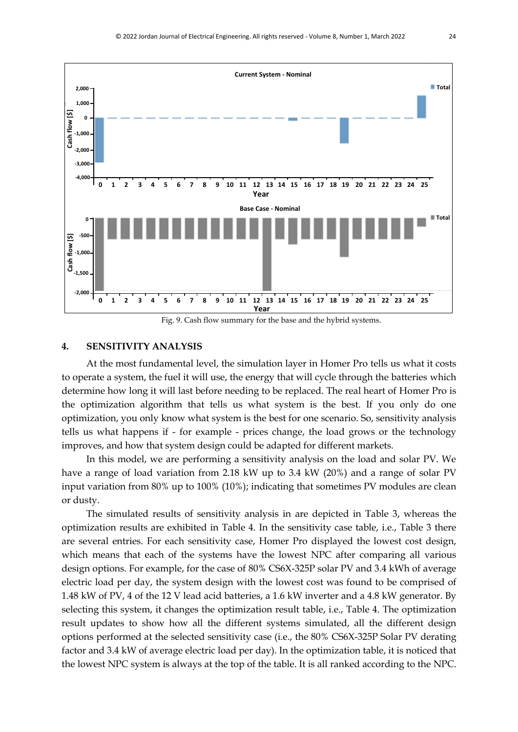

Fig. 9. Cash flow summary for the base and the hybrid systems.

## **4. SENSITIVITY ANALYSIS**

At the most fundamental level, the simulation layer in Homer Pro tells us what it costs to operate a system, the fuel it will use, the energy that will cycle through the batteries which determine how long it will last before needing to be replaced. The real heart of Homer Pro is the optimization algorithm that tells us what system is the best. If you only do one optimization, you only know what system is the best for one scenario. So, sensitivity analysis tells us what happens if - for example - prices change, the load grows or the technology improves, and how that system design could be adapted for different markets.

In this model, we are performing a sensitivity analysis on the load and solar PV. We have a range of load variation from 2.18 kW up to 3.4 kW (20%) and a range of solar PV input variation from 80% up to 100% (10%); indicating that sometimes PV modules are clean or dusty.

The simulated results of sensitivity analysis in are depicted in Table 3, whereas the optimization results are exhibited in Table 4. In the sensitivity case table, i.e., Table 3 there are several entries. For each sensitivity case, Homer Pro displayed the lowest cost design, which means that each of the systems have the lowest NPC after comparing all various design options. For example, for the case of 80% CS6X-325P solar PV and 3.4 kWh of average electric load per day, the system design with the lowest cost was found to be comprised of 1.48 kW of PV, 4 of the 12 V lead acid batteries, a 1.6 kW inverter and a 4.8 kW generator. By selecting this system, it changes the optimization result table, i.e., Table 4. The optimization result updates to show how all the different systems simulated, all the different design options performed at the selected sensitivity case (i.e., the 80% CS6X-325P Solar PV derating factor and 3.4 kW of average electric load per day). In the optimization table, it is noticed that the lowest NPC system is always at the top of the table. It is all ranked according to the NPC.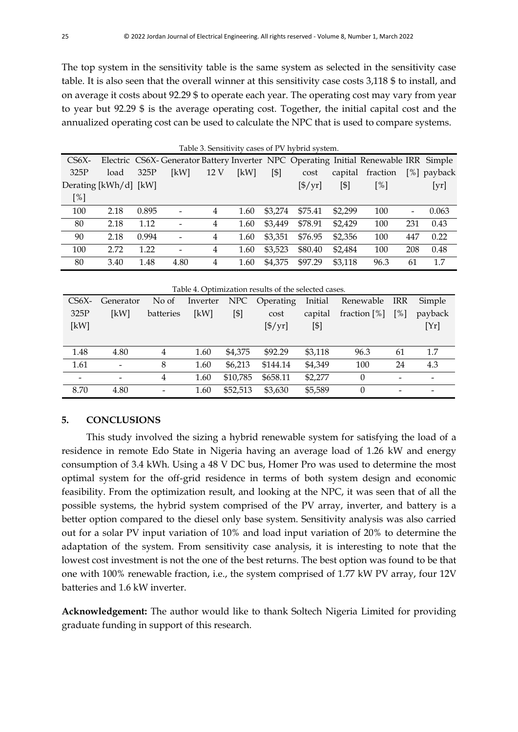The top system in the sensitivity table is the same system as selected in the sensitivity case table. It is also seen that the overall winner at this sensitivity case costs 3,118 \$ to install, and on average it costs about 92.29 \$ to operate each year. The operating cost may vary from year to year but 92.29 \$ is the average operating cost. Together, the initial capital cost and the annualized operating cost can be used to calculate the NPC that is used to compare systems.

|                       |      |       |      |      |      |         | Table 3. Sensitivity cases of PV hybrid system. |         |                                                                                     |                          |                 |
|-----------------------|------|-------|------|------|------|---------|-------------------------------------------------|---------|-------------------------------------------------------------------------------------|--------------------------|-----------------|
| $CS6X-$               |      |       |      |      |      |         |                                                 |         | Electric CS6X-Generator Battery Inverter NPC Operating Initial Renewable IRR Simple |                          |                 |
| 325P                  | load | 325P  | [kW] | 12 V | [kW] | [\$]    | cost                                            | capital | fraction                                                                            |                          | [%] payback     |
| Derating [kWh/d] [kW] |      |       |      |      |      |         | $[\frac{\pi}{3}]$                               | [\$]    | $\lceil\% \rceil$                                                                   |                          | $[\mathrm{yr}]$ |
| [%]                   |      |       |      |      |      |         |                                                 |         |                                                                                     |                          |                 |
| 100                   | 2.18 | 0.895 |      | 4    | 1.60 | \$3,274 | \$75.41                                         | \$2,299 | 100                                                                                 | $\overline{\phantom{a}}$ | 0.063           |
| 80                    | 2.18 | 1.12  |      | 4    | 1.60 | \$3,449 | \$78.91                                         | \$2,429 | 100                                                                                 | 231                      | 0.43            |
| 90                    | 2.18 | 0.994 |      | 4    | 1.60 | \$3,351 | \$76.95                                         | \$2,356 | 100                                                                                 | 447                      | 0.22            |
| 100                   | 2.72 | 1.22  |      | 4    | 1.60 | \$3,523 | \$80.40                                         | \$2,484 | 100                                                                                 | 208                      | 0.48            |
| 80                    | 3.40 | 1.48  | 4.80 | 4    | 1.60 | \$4,375 | \$97.29                                         | \$3,118 | 96.3                                                                                | 61                       | 1.7             |

|                          | Table 4. Optimization results of the selected cases. |           |          |                   |                       |         |                 |                              |                          |  |  |  |  |  |
|--------------------------|------------------------------------------------------|-----------|----------|-------------------|-----------------------|---------|-----------------|------------------------------|--------------------------|--|--|--|--|--|
| $CS6X-$                  | Generator                                            | No of     | Inverter | NPC               | Operating             | Initial | Renewable       | IRR                          | Simple                   |  |  |  |  |  |
| 325P                     | [kW]                                                 | batteries | [kW]     | $\lceil $ \rceil$ | cost                  | capital | fraction $[\%]$ | $\lceil \% \rceil$           | payback                  |  |  |  |  |  |
| [kW]                     |                                                      |           |          |                   | $[\frac{\$}{\rm yr}]$ | [\$]    |                 |                              | [Yr]                     |  |  |  |  |  |
|                          |                                                      |           |          |                   |                       |         |                 |                              |                          |  |  |  |  |  |
| 1.48                     | 4.80                                                 | 4         | 1.60     | \$4,375           | \$92.29               | \$3,118 | 96.3            | 61                           | 1.7                      |  |  |  |  |  |
| 1.61                     | $\qquad \qquad$                                      | 8         | 1.60     | \$6,213           | \$144.14              | \$4,349 | 100             | 24                           | 4.3                      |  |  |  |  |  |
| $\overline{\phantom{a}}$ |                                                      | 4         | 1.60     | \$10,785          | \$658.11              | \$2,277 | $\theta$        | $\qquad \qquad \blacksquare$ | $\qquad \qquad$          |  |  |  |  |  |
| 8.70                     | 4.80                                                 |           | 1.60     | \$52,513          | \$3,630               | \$5,589 | $\theta$        | $\qquad \qquad$              | $\overline{\phantom{a}}$ |  |  |  |  |  |

## **5. CONCLUSIONS**

This study involved the sizing a hybrid renewable system for satisfying the load of a residence in remote Edo State in Nigeria having an average load of 1.26 kW and energy consumption of 3.4 kWh. Using a 48 V DC bus, Homer Pro was used to determine the most optimal system for the off-grid residence in terms of both system design and economic feasibility. From the optimization result, and looking at the NPC, it was seen that of all the possible systems, the hybrid system comprised of the PV array, inverter, and battery is a better option compared to the diesel only base system. Sensitivity analysis was also carried out for a solar PV input variation of 10% and load input variation of 20% to determine the adaptation of the system. From sensitivity case analysis, it is interesting to note that the lowest cost investment is not the one of the best returns. The best option was found to be that one with 100% renewable fraction, i.e., the system comprised of 1.77 kW PV array, four 12V batteries and 1.6 kW inverter.

**Acknowledgement:** The author would like to thank Soltech Nigeria Limited for providing graduate funding in support of this research.